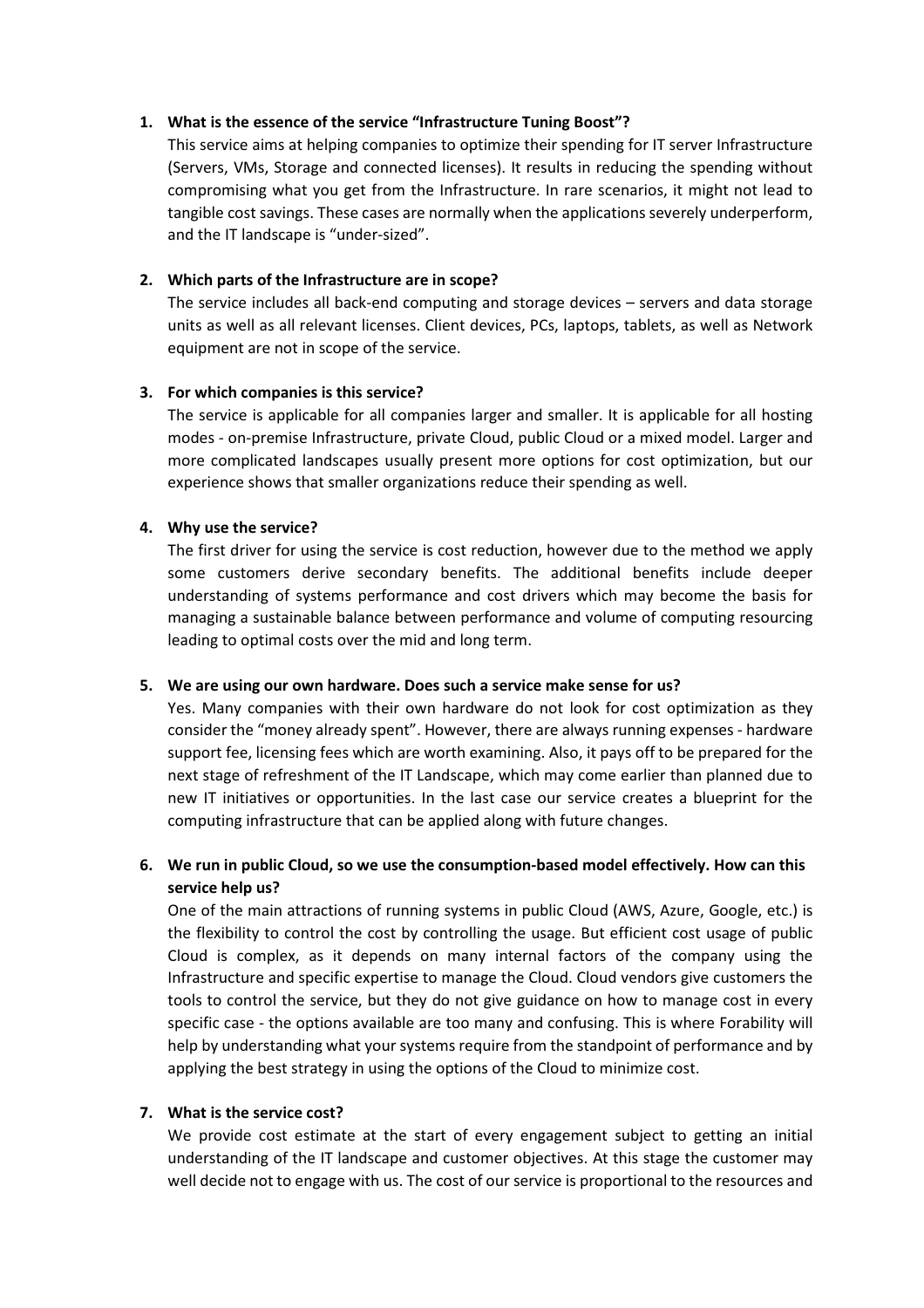#### 1. What is the essence of the service "Infrastructure Tuning Boost"?

This service aims at helping companies to optimize their spending for IT server Infrastructure (Servers, VMs, Storage and connected licenses). It results in reducing the spending without compromising what you get from the Infrastructure. In rare scenarios, it might not lead to tangible cost savings. These cases are normally when the applications severely underperform, and the IT landscape is "under-sized".

## 2. Which parts of the Infrastructure are in scope?

The service includes all back-end computing and storage devices – servers and data storage units as well as all relevant licenses. Client devices, PCs, laptops, tablets, as well as Network equipment are not in scope of the service.

# 3. For which companies is this service?

The service is applicable for all companies larger and smaller. It is applicable for all hosting modes - on-premise Infrastructure, private Cloud, public Cloud or a mixed model. Larger and more complicated landscapes usually present more options for cost optimization, but our experience shows that smaller organizations reduce their spending as well.

### 4. Why use the service?

The first driver for using the service is cost reduction, however due to the method we apply some customers derive secondary benefits. The additional benefits include deeper understanding of systems performance and cost drivers which may become the basis for managing a sustainable balance between performance and volume of computing resourcing leading to optimal costs over the mid and long term.

#### 5. We are using our own hardware. Does such a service make sense for us?

Yes. Many companies with their own hardware do not look for cost optimization as they consider the "money already spent". However, there are always running expenses - hardware support fee, licensing fees which are worth examining. Also, it pays off to be prepared for the next stage of refreshment of the IT Landscape, which may come earlier than planned due to new IT initiatives or opportunities. In the last case our service creates a blueprint for the computing infrastructure that can be applied along with future changes.

6. We run in public Cloud, so we use the consumption-based model effectively. How can this service help us?

One of the main attractions of running systems in public Cloud (AWS, Azure, Google, etc.) is the flexibility to control the cost by controlling the usage. But efficient cost usage of public Cloud is complex, as it depends on many internal factors of the company using the Infrastructure and specific expertise to manage the Cloud. Cloud vendors give customers the tools to control the service, but they do not give guidance on how to manage cost in every specific case - the options available are too many and confusing. This is where Forability will help by understanding what your systems require from the standpoint of performance and by applying the best strategy in using the options of the Cloud to minimize cost.

# 7. What is the service cost?

We provide cost estimate at the start of every engagement subject to getting an initial understanding of the IT landscape and customer objectives. At this stage the customer may well decide not to engage with us. The cost of our service is proportional to the resources and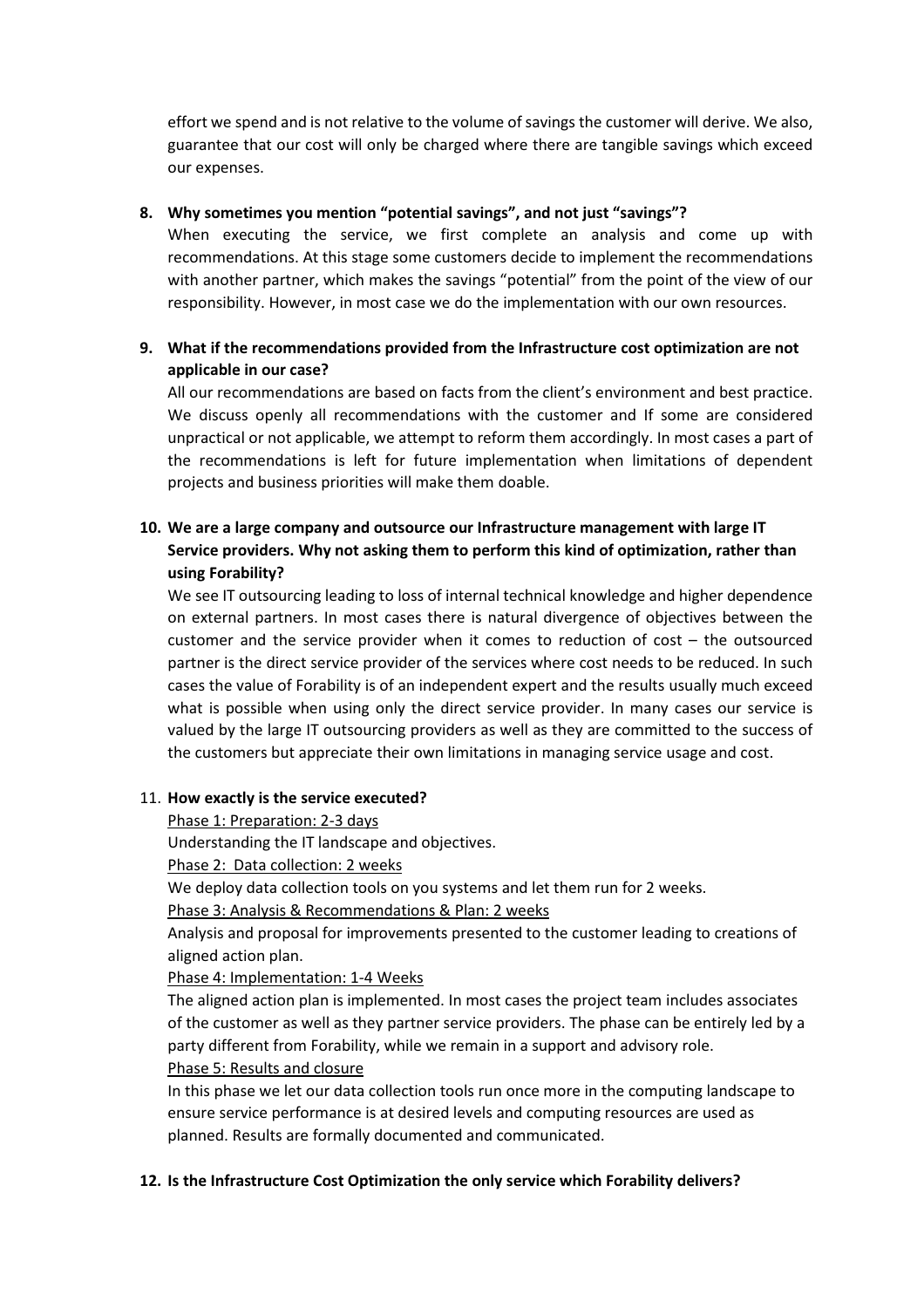effort we spend and is not relative to the volume of savings the customer will derive. We also, guarantee that our cost will only be charged where there are tangible savings which exceed our expenses.

### 8. Why sometimes you mention "potential savings", and not just "savings"?

When executing the service, we first complete an analysis and come up with recommendations. At this stage some customers decide to implement the recommendations with another partner, which makes the savings "potential" from the point of the view of our responsibility. However, in most case we do the implementation with our own resources.

# 9. What if the recommendations provided from the Infrastructure cost optimization are not applicable in our case?

All our recommendations are based on facts from the client's environment and best practice. We discuss openly all recommendations with the customer and If some are considered unpractical or not applicable, we attempt to reform them accordingly. In most cases a part of the recommendations is left for future implementation when limitations of dependent projects and business priorities will make them doable.

# 10. We are a large company and outsource our Infrastructure management with large IT Service providers. Why not asking them to perform this kind of optimization, rather than using Forability?

We see IT outsourcing leading to loss of internal technical knowledge and higher dependence on external partners. In most cases there is natural divergence of objectives between the customer and the service provider when it comes to reduction of cost – the outsourced partner is the direct service provider of the services where cost needs to be reduced. In such cases the value of Forability is of an independent expert and the results usually much exceed what is possible when using only the direct service provider. In many cases our service is valued by the large IT outsourcing providers as well as they are committed to the success of the customers but appreciate their own limitations in managing service usage and cost.

#### 11. How exactly is the service executed?

Phase 1: Preparation: 2-3 days

Understanding the IT landscape and objectives.

Phase 2: Data collection: 2 weeks

We deploy data collection tools on you systems and let them run for 2 weeks.

Phase 3: Analysis & Recommendations & Plan: 2 weeks

Analysis and proposal for improvements presented to the customer leading to creations of aligned action plan.

Phase 4: Implementation: 1-4 Weeks

The aligned action plan is implemented. In most cases the project team includes associates of the customer as well as they partner service providers. The phase can be entirely led by a party different from Forability, while we remain in a support and advisory role. Phase 5: Results and closure

In this phase we let our data collection tools run once more in the computing landscape to ensure service performance is at desired levels and computing resources are used as planned. Results are formally documented and communicated.

# 12. Is the Infrastructure Cost Optimization the only service which Forability delivers?